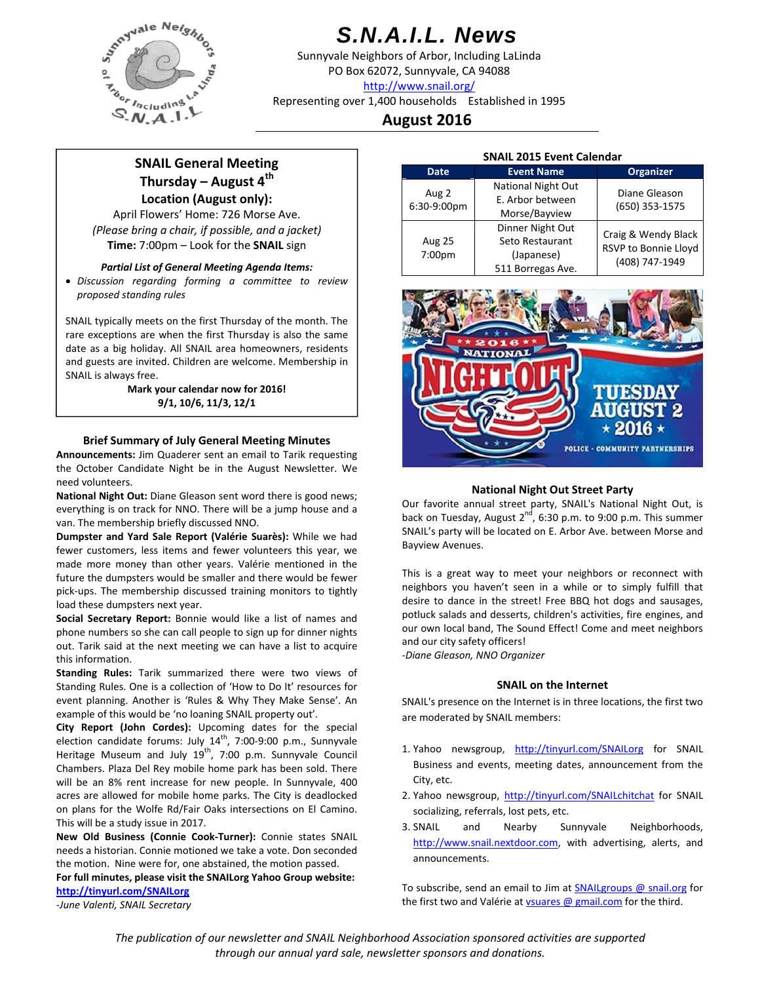

# *S.N.A.I.L. News*

Sunnyvale Neighbors of Arbor, Including LaLinda PO Box 62072, Sunnyvale, CA 94088 http://www.snail.org/

Representing over 1,400 households Established in 1995

# **August 2016**

# **SNAIL General Meeting Thursday – August 4th Location (August only):**

April Flowers' Home: 726 Morse Ave. *(Please bring a chair, if possible, and a jacket)* **Time:** 7:00pm – Look for the **SNAIL** sign

## *Partial List of General Meeting Agenda Items:*

 *Discussion regarding forming a committee to review proposed standing rules*

SNAIL typically meets on the first Thursday of the month. The rare exceptions are when the first Thursday is also the same date as a big holiday. All SNAIL area homeowners, residents and guests are invited. Children are welcome. Membership in SNAIL is always free.

> **Mark your calendar now for 2016! 9/1, 10/6, 11/3, 12/1**

# **Brief Summary of July General Meeting Minutes**

**Announcements:** Jim Quaderer sent an email to Tarik requesting the October Candidate Night be in the August Newsletter. We need volunteers.

**National Night Out:** Diane Gleason sent word there is good news; everything is on track for NNO. There will be a jump house and a van. The membership briefly discussed NNO.

**Dumpster and Yard Sale Report (Valérie Suarès):** While we had fewer customers, less items and fewer volunteers this year, we made more money than other years. Valérie mentioned in the future the dumpsters would be smaller and there would be fewer pick‐ups. The membership discussed training monitors to tightly load these dumpsters next year.

**Social Secretary Report:** Bonnie would like a list of names and phone numbers so she can call people to sign up for dinner nights out. Tarik said at the next meeting we can have a list to acquire this information.

**Standing Rules:** Tarik summarized there were two views of Standing Rules. One is a collection of 'How to Do It' resources for event planning. Another is 'Rules & Why They Make Sense'. An example of this would be 'no loaning SNAIL property out'.

**City Report (John Cordes):** Upcoming dates for the special election candidate forums: July  $14^{th}$ , 7:00-9:00 p.m., Sunnyvale Heritage Museum and July  $19^{th}$ , 7:00 p.m. Sunnyvale Council Chambers. Plaza Del Rey mobile home park has been sold. There will be an 8% rent increase for new people. In Sunnyvale, 400 acres are allowed for mobile home parks. The City is deadlocked on plans for the Wolfe Rd/Fair Oaks intersections on El Camino. This will be a study issue in 2017.

**New Old Business (Connie Cook‐Turner):** Connie states SNAIL needs a historian. Connie motioned we take a vote. Don seconded the motion. Nine were for, one abstained, the motion passed.

**For full minutes, please visit the SNAILorg Yahoo Group website: http://tinyurl.com/SNAILorg**

*‐June Valenti, SNAIL Secretary*

| <b>SNAIL 2015 Event Calendar</b> |                           |                                                               |  |  |  |  |  |
|----------------------------------|---------------------------|---------------------------------------------------------------|--|--|--|--|--|
| <b>Date</b>                      | <b>Event Name</b>         | <b>Organizer</b>                                              |  |  |  |  |  |
| Aug 2<br>6:30-9:00pm             | <b>National Night Out</b> | Diane Gleason                                                 |  |  |  |  |  |
|                                  | E. Arbor between          | (650) 353-1575                                                |  |  |  |  |  |
|                                  | Morse/Bayview             |                                                               |  |  |  |  |  |
| <b>Aug 25</b><br>7:00pm          | Dinner Night Out          | Craig & Wendy Black<br>RSVP to Bonnie Lloyd<br>(408) 747-1949 |  |  |  |  |  |
|                                  | Seto Restaurant           |                                                               |  |  |  |  |  |
|                                  | (Japanese)                |                                                               |  |  |  |  |  |
|                                  | 511 Borregas Ave.         |                                                               |  |  |  |  |  |



# **National Night Out Street Party**

Our favorite annual street party, SNAIL's National Night Out, is back on Tuesday, August  $2^{nd}$ , 6:30 p.m. to 9:00 p.m. This summer SNAIL's party will be located on E. Arbor Ave. between Morse and Bayview Avenues.

This is a great way to meet your neighbors or reconnect with neighbors you haven't seen in a while or to simply fulfill that desire to dance in the street! Free BBQ hot dogs and sausages, potluck salads and desserts, children's activities, fire engines, and our own local band, The Sound Effect! Come and meet neighbors and our city safety officers!

*‐Diane Gleason, NNO Organizer*

## **SNAIL on the Internet**

SNAIL's presence on the Internet is in three locations, the first two are moderated by SNAIL members:

- 1. Yahoo newsgroup, http://tinyurl.com/SNAILorg for SNAIL Business and events, meeting dates, announcement from the City, etc.
- 2. Yahoo newsgroup, http://tinyurl.com/SNAILchitchat for SNAIL socializing, referrals, lost pets, etc.
- 3. SNAIL and Nearby Sunnyvale Neighborhoods, http://www.snail.nextdoor.com, with advertising, alerts, and announcements.

To subscribe, send an email to Jim at SNAILgroups @ snail.org for the first two and Valérie at *vsuares @ gmail.com* for the third.

*The publication of our newsletter and SNAIL Neighborhood Association sponsored activities are supported through our annual yard sale, newsletter sponsors and donations.*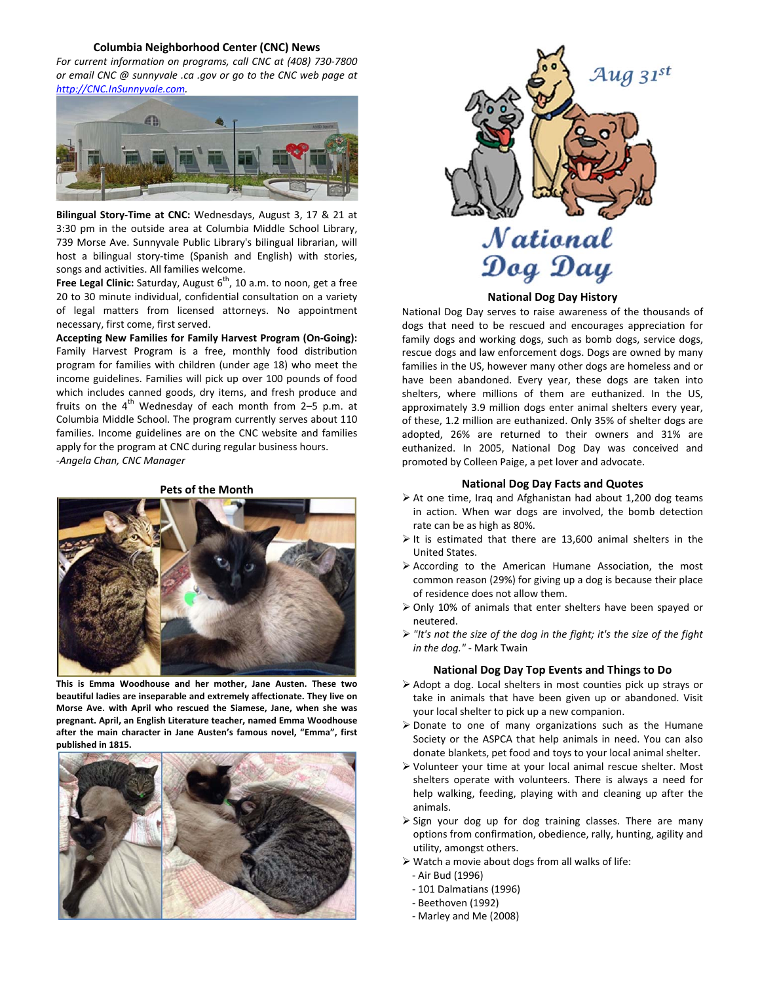#### **Columbia Neighborhood Center (CNC) News**

*For current information on programs, call CNC at (408) 730‐7800 or email CNC @ sunnyvale .ca .gov or go to the CNC web page at http://CNC.InSunnyvale.com.*



**Bilingual Story‐Time at CNC:** Wednesdays, August 3, 17 & 21 at 3:30 pm in the outside area at Columbia Middle School Library, 739 Morse Ave. Sunnyvale Public Library's bilingual librarian, will host a bilingual story-time (Spanish and English) with stories, songs and activities. All families welcome.

**Free Legal Clinic:** Saturday, August 6<sup>th</sup>, 10 a.m. to noon, get a free 20 to 30 minute individual, confidential consultation on a variety of legal matters from licensed attorneys. No appointment necessary, first come, first served.

**Accepting New Families for Family Harvest Program (On‐Going):** Family Harvest Program is a free, monthly food distribution program for families with children (under age 18) who meet the income guidelines. Families will pick up over 100 pounds of food which includes canned goods, dry items, and fresh produce and fruits on the  $4<sup>th</sup>$  Wednesday of each month from 2–5 p.m. at Columbia Middle School. The program currently serves about 110 families. Income guidelines are on the CNC website and families apply for the program at CNC during regular business hours. ‐*Angela Chan, CNC Manager*

#### **Pets of the Month**



**This is Emma Woodhouse and her mother, Jane Austen. These two beautiful ladies are inseparable and extremely affectionate. They live on Morse Ave. with April who rescued the Siamese, Jane, when she was pregnant. April, an English Literature teacher, named Emma Woodhouse after the main character in Jane Austen's famous novel, "Emma", first published in 1815.**





#### **National Dog Day History**

National Dog Day serves to raise awareness of the thousands of dogs that need to be rescued and encourages appreciation for family dogs and working dogs, such as bomb dogs, service dogs, rescue dogs and law enforcement dogs. Dogs are owned by many families in the US, however many other dogs are homeless and or have been abandoned. Every year, these dogs are taken into shelters, where millions of them are euthanized. In the US, approximately 3.9 million dogs enter animal shelters every year, of these, 1.2 million are euthanized. Only 35% of shelter dogs are adopted, 26% are returned to their owners and 31% are euthanized. In 2005, National Dog Day was conceived and promoted by Colleen Paige, a pet lover and advocate.

#### **National Dog Day Facts and Quotes**

- $\triangleright$  At one time, Iraq and Afghanistan had about 1,200 dog teams in action. When war dogs are involved, the bomb detection rate can be as high as 80%.
- $\triangleright$  It is estimated that there are 13,600 animal shelters in the United States.
- According to the American Humane Association, the most common reason (29%) for giving up a dog is because their place of residence does not allow them.
- Only 10% of animals that enter shelters have been spayed or neutered.
- *"It's not the size of the dog in the fight; it's the size of the fight in the dog."* ‐ Mark Twain

#### **National Dog Day Top Events and Things to Do**

- Adopt a dog. Local shelters in most counties pick up strays or take in animals that have been given up or abandoned. Visit your local shelter to pick up a new companion.
- Donate to one of many organizations such as the Humane Society or the ASPCA that help animals in need. You can also donate blankets, pet food and toys to your local animal shelter.
- Volunteer your time at your local animal rescue shelter. Most shelters operate with volunteers. There is always a need for help walking, feeding, playing with and cleaning up after the animals.
- $\triangleright$  Sign your dog up for dog training classes. There are many options from confirmation, obedience, rally, hunting, agility and utility, amongst others.
- $\triangleright$  Watch a movie about dogs from all walks of life:
	- ‐ Air Bud (1996)
	- ‐ 101 Dalmatians (1996)
	- ‐ Beethoven (1992)
	- ‐ Marley and Me (2008)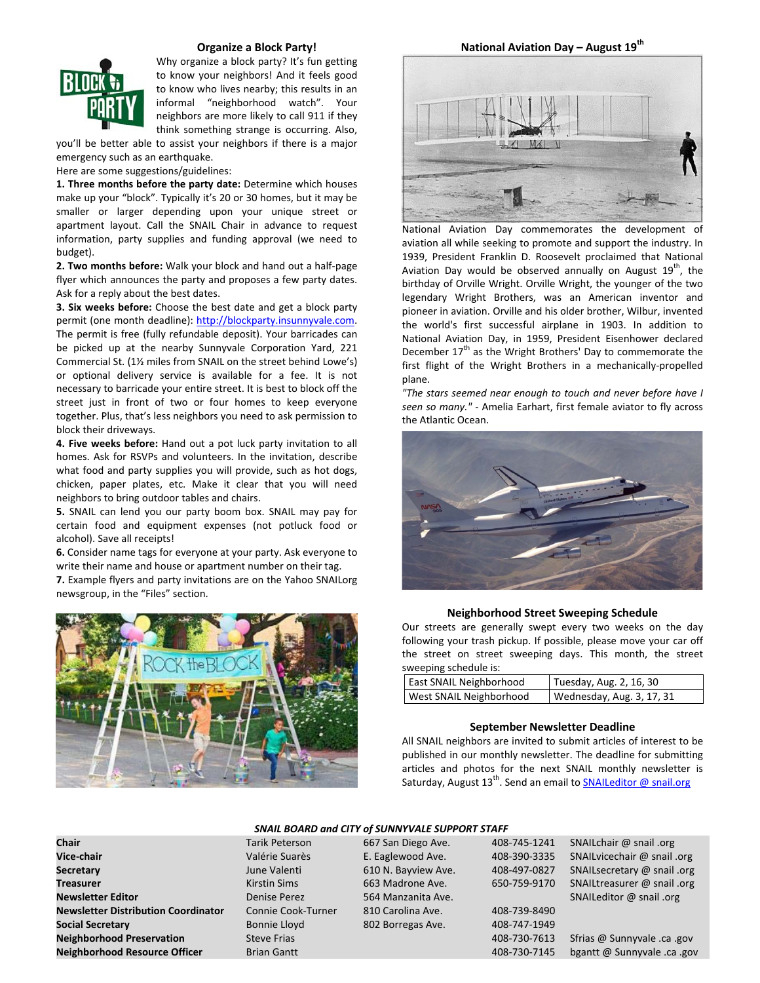

#### **Organize a Block Party!**

Why organize a block party? It's fun getting to know your neighbors! And it feels good to know who lives nearby; this results in an informal "neighborhood watch". Your neighbors are more likely to call 911 if they think something strange is occurring. Also,

you'll be better able to assist your neighbors if there is a major emergency such as an earthquake.

Here are some suggestions/guidelines:

**1. Three months before the party date:** Determine which houses make up your "block". Typically it's 20 or 30 homes, but it may be smaller or larger depending upon your unique street or apartment layout. Call the SNAIL Chair in advance to request information, party supplies and funding approval (we need to budget).

**2. Two months before:** Walk your block and hand out a half‐page flyer which announces the party and proposes a few party dates. Ask for a reply about the best dates.

**3. Six weeks before:** Choose the best date and get a block party permit (one month deadline): http://blockparty.insunnyvale.com. The permit is free (fully refundable deposit). Your barricades can be picked up at the nearby Sunnyvale Corporation Yard, 221 Commercial St. (1½ miles from SNAIL on the street behind Lowe's) or optional delivery service is available for a fee. It is not necessary to barricade your entire street. It is best to block off the street just in front of two or four homes to keep everyone together. Plus, that's less neighbors you need to ask permission to block their driveways.

**4. Five weeks before:** Hand out a pot luck party invitation to all homes. Ask for RSVPs and volunteers. In the invitation, describe what food and party supplies you will provide, such as hot dogs, chicken, paper plates, etc. Make it clear that you will need neighbors to bring outdoor tables and chairs.

**5.** SNAIL can lend you our party boom box. SNAIL may pay for certain food and equipment expenses (not potluck food or alcohol). Save all receipts!

**6.** Consider name tags for everyone at your party. Ask everyone to write their name and house or apartment number on their tag.

**7.** Example flyers and party invitations are on the Yahoo SNAILorg newsgroup, in the "Files" section.



**National Aviation Day – August 19th**



National Aviation Day commemorates the development of aviation all while seeking to promote and support the industry. In 1939, President Franklin D. Roosevelt proclaimed that National Aviation Day would be observed annually on August  $19<sup>th</sup>$ , the birthday of Orville Wright. Orville Wright, the younger of the two legendary Wright Brothers, was an American inventor and pioneer in aviation. Orville and his older brother, Wilbur, invented the world's first successful airplane in 1903. In addition to National Aviation Day, in 1959, President Eisenhower declared December  $17<sup>th</sup>$  as the Wright Brothers' Day to commemorate the first flight of the Wright Brothers in a mechanically‐propelled plane.

*"The stars seemed near enough to touch and never before have I seen so many."* ‐ Amelia Earhart, first female aviator to fly across the Atlantic Ocean.



#### **Neighborhood Street Sweeping Schedule**

Our streets are generally swept every two weeks on the day following your trash pickup. If possible, please move your car off the street on street sweeping days. This month, the street sweeping schedule is:

| East SNAIL Neighborhood        | Tuesday, Aug. 2, 16, 30   |  |  |  |
|--------------------------------|---------------------------|--|--|--|
| <b>West SNAIL Neighborhood</b> | Wednesday, Aug. 3, 17, 31 |  |  |  |

#### **September Newsletter Deadline**

All SNAIL neighbors are invited to submit articles of interest to be published in our monthly newsletter. The deadline for submitting articles and photos for the next SNAIL monthly newsletter is Saturday, August 13<sup>th</sup>. Send an email to **SNAILeditor @ snail.org** 

### *SNAIL BOARD and CITY of SUNNYVALE SUPPORT STAFF*

| ыш                                         | i al in Felei Sull  | <b>OUT JOIL DICED AVE.</b> | 400-74J-1441 | $JINMILLIIBII$ (w $JIBII$ , $UIB$ |
|--------------------------------------------|---------------------|----------------------------|--------------|-----------------------------------|
| Vice-chair                                 | Valérie Suarès      | E. Eaglewood Ave.          | 408-390-3335 | SNAILvicechair @ snail .org       |
| Secretary                                  | June Valenti        | 610 N. Bayview Ave.        | 408-497-0827 | SNAILsecretary @ snail .org       |
| <b>Treasurer</b>                           | <b>Kirstin Sims</b> | 663 Madrone Ave.           | 650-759-9170 | SNAILtreasurer @ snail .org       |
| <b>Newsletter Editor</b>                   | Denise Perez        | 564 Manzanita Ave.         |              | SNAILeditor $@$ snail .org        |
| <b>Newsletter Distribution Coordinator</b> | Connie Cook-Turner  | 810 Carolina Ave.          | 408-739-8490 |                                   |
| <b>Social Secretary</b>                    | Bonnie Lloyd        | 802 Borregas Ave.          | 408-747-1949 |                                   |
| <b>Neighborhood Preservation</b>           | <b>Steve Frias</b>  |                            | 408-730-7613 | Sfrias @ Sunnyvale .ca .gov       |
| <b>Neighborhood Resource Officer</b>       | <b>Brian Gantt</b>  |                            | 408-730-7145 | bgantt @ Sunnyvale .ca .go        |

**Chair** Tarik Peterson 667 San Diego Ave. 408‐745‐1241 SNAILchair @ snail .org **Neighborhood Brian Gantt Resources Resources Cancel Brian Gantt @ Sunnyvale .ca .gov** 

| Valérie Suarès      | E. Eaglewood Ave.   | 408-390-3335 | SNAILvicechair @ snail .org |
|---------------------|---------------------|--------------|-----------------------------|
| June Valenti        | 610 N. Bayview Ave. | 408-497-0827 | SNAILsecretary @ snail .org |
| <b>Kirstin Sims</b> | 663 Madrone Ave.    | 650-759-9170 | SNAILtreasurer @ snail .org |
| Denise Perez        | 564 Manzanita Ave.  |              | SNAILeditor @ snail .org    |
| Connie Cook-Turner  | 810 Carolina Ave.   | 408-739-8490 |                             |
| Bonnie Lloyd        | 802 Borregas Ave.   | 408-747-1949 |                             |
| <b>Steve Frias</b>  |                     | 408-730-7613 | Sfrias @ Sunnyvale .ca .gov |
|                     |                     |              |                             |